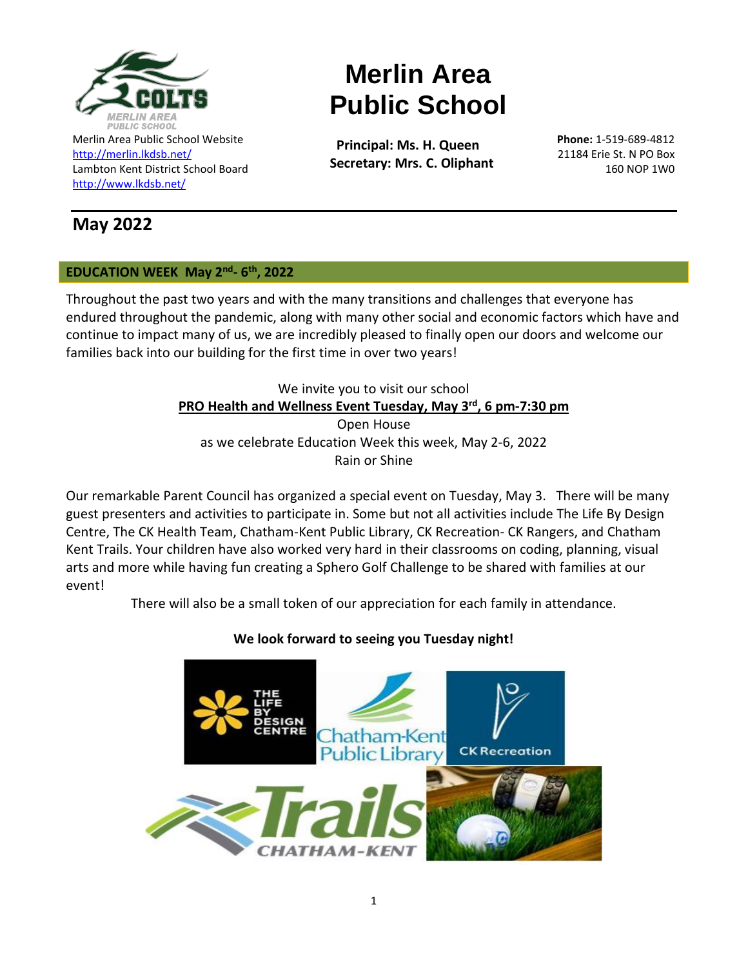

Merlin Area Public School Website <http://merlin.lkdsb.net/> Lambton Kent District School Board <http://www.lkdsb.net/>

# **May 2022**

# **EDUCATION WEEK May 2nd - 6 th, 2022**

Throughout the past two years and with the many transitions and challenges that everyone has endured throughout the pandemic, along with many other social and economic factors which have and continue to impact many of us, we are incredibly pleased to finally open our doors and welcome our families back into our building for the first time in over two years!

**Merlin Area** 

**Public School**

 **Principal: Ms. H. Queen Secretary: Mrs. C. Oliphant**

# We invite you to visit our school **PRO Health and Wellness Event Tuesday, May 3rd , 6 pm-7:30 pm** Open House as we celebrate Education Week this week, May 2-6, 2022 Rain or Shine

Our remarkable Parent Council has organized a special event on Tuesday, May 3. There will be many guest presenters and activities to participate in. Some but not all activities include The Life By Design Centre, The CK Health Team, Chatham-Kent Public Library, CK Recreation- CK Rangers, and Chatham Kent Trails. Your children have also worked very hard in their classrooms on coding, planning, visual arts and more while having fun creating a Sphero Golf Challenge to be shared with families at our event!

There will also be a small token of our appreciation for each family in attendance.

# **We look forward to seeing you Tuesday night!**



**Phone:** 1-519-689-4812 21184 Erie St. N PO Box 160 NOP 1W0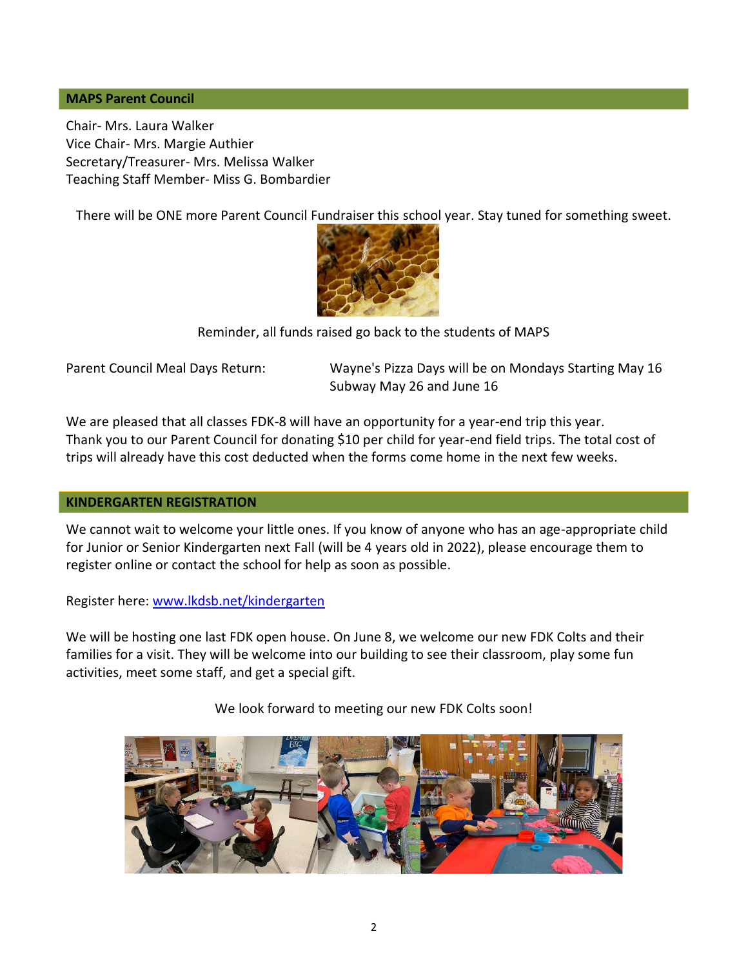#### **MAPS Parent Council**

Chair- Mrs. Laura Walker Vice Chair- Mrs. Margie Authier Secretary/Treasurer- Mrs. Melissa Walker Teaching Staff Member- Miss G. Bombardier

There will be ONE more Parent Council Fundraiser this school year. Stay tuned for something sweet.



Reminder, all funds r[aised go b](https://www.oist.jp/news-center/photos/honeybee)ack to the students of MAPS

Parent Council Meal Days Return: Wayne's Pizza Days will be on Mondays Starting May 16 Subway May 26 and June 16

We are pleased that all classes FDK-8 will have an opportunity for a year-end trip this year. Thank you to our Parent Council for donating \$10 per child for year-end field trips. The total cost of trips will already have this cost deducted when the forms come home in the next few weeks.

#### **KINDERGARTEN REGISTRATION**

We cannot wait to welcome your little ones. If you know of anyone who has an age-appropriate child for Junior or Senior Kindergarten next Fall (will be 4 years old in 2022), please encourage them to register online or contact the school for help as soon as possible.

Register here: [www.lkdsb.net/kindergarten](http://www.lkdsb.net/kindergarten)

We will be hosting one last FDK open house. On June 8, we welcome our new FDK Colts and their families for a visit. They will be welcome into our building to see their classroom, play some fun activities, meet some staff, and get a special gift.

We look forward to meeting our new FDK Colts soon!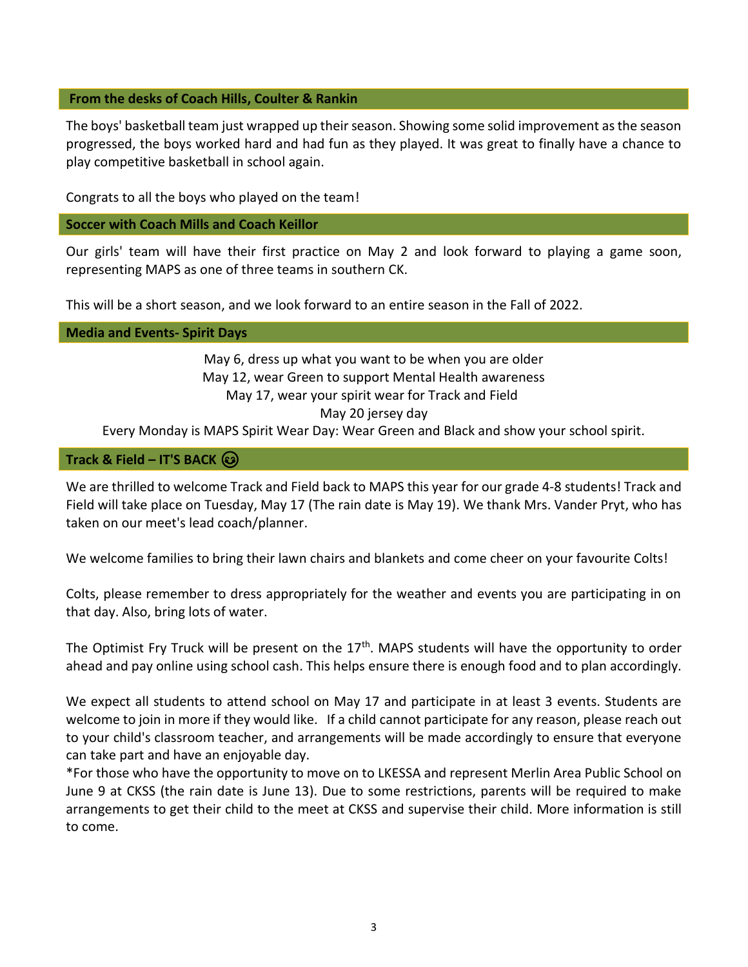#### **From the desks of Coach Hills, Coulter & Rankin**

The boys' basketball team just wrapped up their season. Showing some solid improvement as the season progressed, the boys worked hard and had fun as they played. It was great to finally have a chance to play competitive basketball in school again.

Congrats to all the boys who played on the team!

# **Soccer with Coach Mills and Coach Keillor**

Our girls' team will have their first practice on May 2 and look forward to playing a game soon, representing MAPS as one of three teams in southern CK.

This will be a short season, and we look forward to an entire season in the Fall of 2022.

# **Media and Events- Spirit Days**

May 6, dress up what you want to be when you are older May 12, wear Green to support Mental Health awareness May 17, wear your spirit wear for Track and Field May 20 jersey day

Every Monday is MAPS Spirit Wear Day: Wear Green and Black and show your school spirit.

# **Track & Field – IT'S BACK**

We are thrilled to welcome Track and Field back to MAPS this year for our grade 4-8 students! Track and Field will take place on Tuesday, May 17 (The rain date is May 19). We thank Mrs. Vander Pryt, who has taken on our meet's lead coach/planner.

We welcome families to bring their lawn chairs and blankets and come cheer on your favourite Colts!

Colts, please remember to dress appropriately for the weather and events you are participating in on that day. Also, bring lots of water.

The Optimist Fry Truck will be present on the 17<sup>th</sup>. MAPS students will have the opportunity to order ahead and pay online using school cash. This helps ensure there is enough food and to plan accordingly.

We expect all students to attend school on May 17 and participate in at least 3 events. Students are welcome to join in more if they would like. If a child cannot participate for any reason, please reach out to your child's classroom teacher, and arrangements will be made accordingly to ensure that everyone can take part and have an enjoyable day.

\*For those who have the opportunity to move on to LKESSA and represent Merlin Area Public School on June 9 at CKSS (the rain date is June 13). Due to some restrictions, parents will be required to make arrangements to get their child to the meet at CKSS and supervise their child. More information is still to come.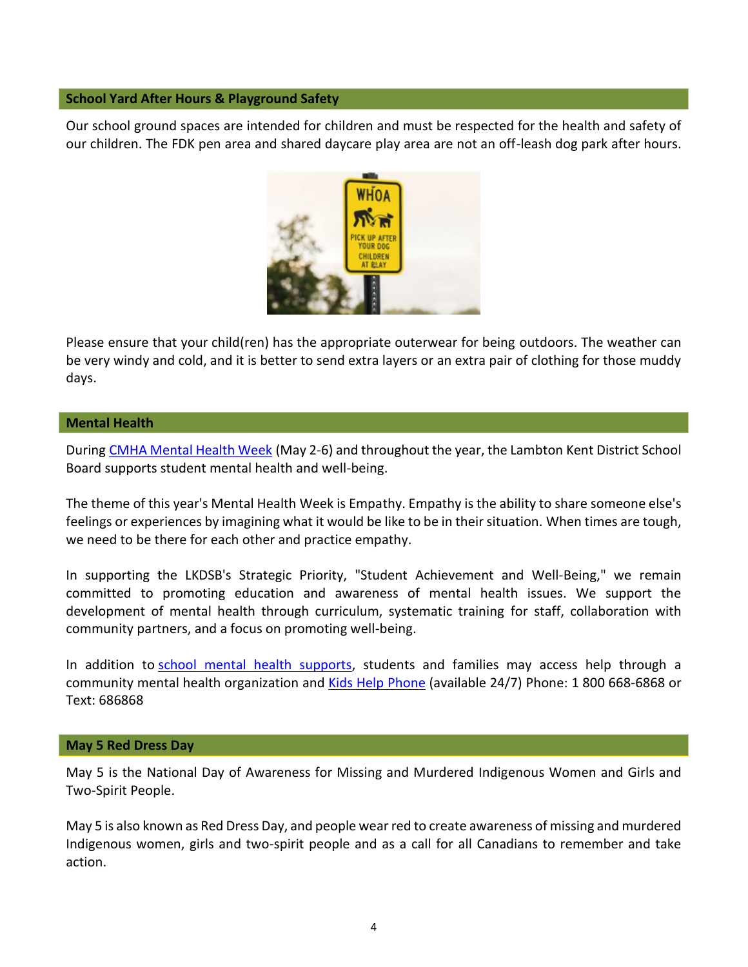#### **School Yard After Hours & Playground Safety**

Our school ground spaces are intended for children and must be respected for the health and safety of our children. The FDK pen area and shared daycare play area are not an off-leash dog park after hours.



Please ensure that your child(ren) has the appropriate outerwear for being outdoors. The weather can be very windy and cold, and it is better to send extra layers or an extra pair of clothing for those muddy days.

#### **Mental Health**

During [CMHA Mental Health Week](https://www.mentalhealthweek.ca/) (May 2-6) and throughout the year, the Lambton Kent District School Board supports student mental health and well-being.

The theme of this year's Mental Health Week is Empathy. Empathy is the ability to share someone else's feelings or experiences by imagining what it would be like to be in their situation. When times are tough, we need to be there for each other and practice empathy.

In supporting the LKDSB's Strategic Priority, "Student Achievement and Well-Being," we remain committed to promoting education and awareness of mental health issues. We support the development of mental health through curriculum, systematic training for staff, collaboration with community partners, and a focus on promoting well-being.

In addition to [school mental health supports,](https://www.lkdsb.net/Board/Community/MentalHealth/lkdsb/Pages/default.aspx#/=) students and families may access help through a community mental health organization and [Kids Help Phone](https://kidshelpphone.ca/) (available 24/7) Phone: 1 800 668-6868 or Text: 686868

#### **May 5 Red Dress Day**

May 5 is the National Day of Awareness for Missing and Murdered Indigenous Women and Girls and Two-Spirit People.

May 5 is also known as Red Dress Day, and people wear red to create awareness of missing and murdered Indigenous women, girls and two-spirit people and as a call for all Canadians to remember and take action.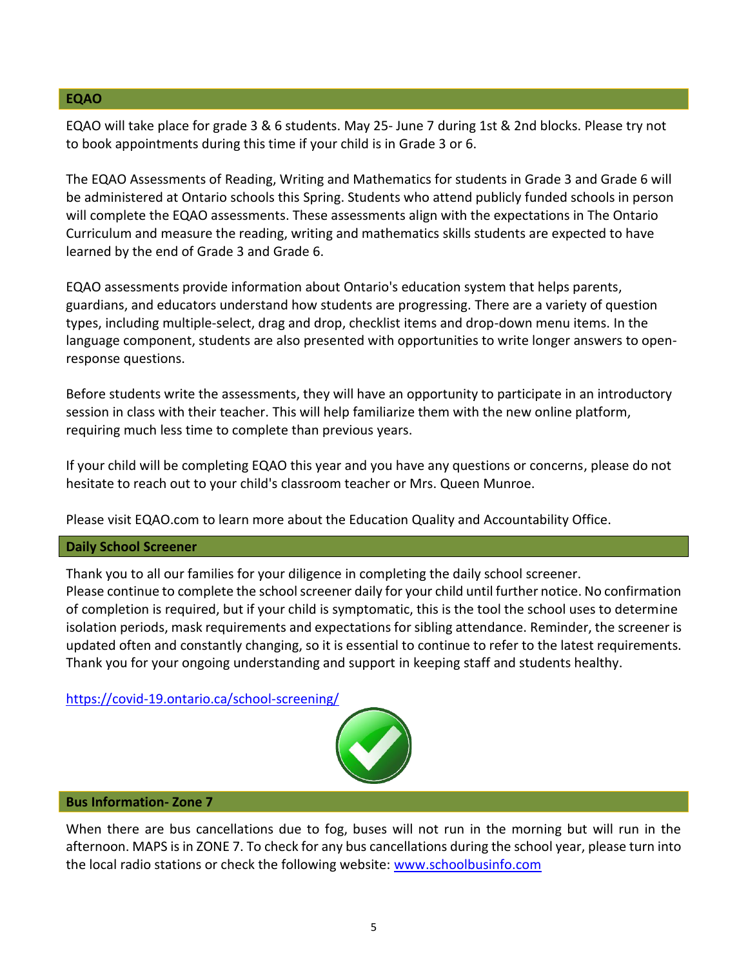#### **EQAO**

EQAO will take place for grade 3 & 6 students. May 25- June 7 during 1st & 2nd blocks. Please try not to book appointments during this time if your child is in Grade 3 or 6.

The EQAO Assessments of Reading, Writing and Mathematics for students in Grade 3 and Grade 6 will be administered at Ontario schools this Spring. Students who attend publicly funded schools in person will complete the EQAO assessments. These assessments align with the expectations in The Ontario Curriculum and measure the reading, writing and mathematics skills students are expected to have learned by the end of Grade 3 and Grade 6.

EQAO assessments provide information about Ontario's education system that helps parents, guardians, and educators understand how students are progressing. There are a variety of question types, including multiple-select, drag and drop, checklist items and drop-down menu items. In the language component, students are also presented with opportunities to write longer answers to openresponse questions.

Before students write the assessments, they will have an opportunity to participate in an introductory session in class with their teacher. This will help familiarize them with the new online platform, requiring much less time to complete than previous years.

If your child will be completing EQAO this year and you have any questions or concerns, please do not hesitate to reach out to your child's classroom teacher or Mrs. Queen Munroe.

Please visit EQAO.com to learn more about the Education Quality and Accountability Office.

# **Daily School Screener**

Thank you to all our families for your diligence in completing the daily school screener. Please continue to complete the school screener daily for your child until further notice. No confirmation of completion is required, but if your child is symptomatic, this is the tool the school uses to determine isolation periods, mask requirements and expectations for sibling attendance. Reminder, the screener is updated often and constantly changing, so it is essential to continue to refer to the latest requirements. Thank you for your ongoing understanding and support in keeping staff and students healthy.

<https://covid-19.ontario.ca/school-screening/>



### **Bus Information- Zone 7**

When there are bus cancellations due to fog, buses will not run in the morning but will run in the afternoon. MAPS is in ZONE 7. To check for any bus cancellations during the school year, please turn into the local radio stations or check the following website: [www.schoolbusinfo.com](http://www.schoolbusinfo.com/)